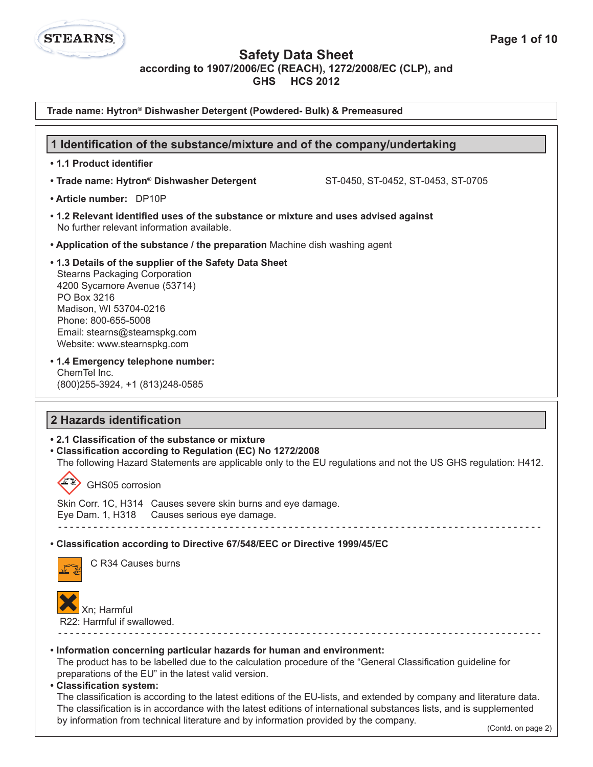

### **Safety Data Sheet**

**according to 1907/2006/EC (REACH), 1272/2008/EC (CLP), and**

**GHS HCS 2012**

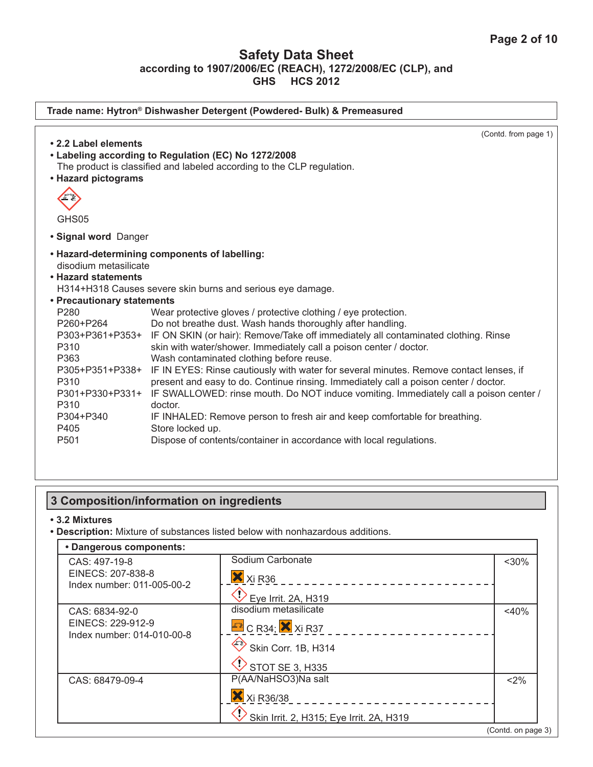| Trade name: Hytron® Dishwasher Detergent (Powdered- Bulk) & Premeasured |                                                                                                                                                                                                                            |  |
|-------------------------------------------------------------------------|----------------------------------------------------------------------------------------------------------------------------------------------------------------------------------------------------------------------------|--|
| • 2.2 Label elements                                                    | (Contd. from page 1)<br>• Labeling according to Regulation (EC) No 1272/2008                                                                                                                                               |  |
| • Hazard pictograms                                                     | The product is classified and labeled according to the CLP regulation.                                                                                                                                                     |  |
|                                                                         |                                                                                                                                                                                                                            |  |
| GHS05<br>• Signal word Danger                                           |                                                                                                                                                                                                                            |  |
| disodium metasilicate<br>• Hazard statements                            | • Hazard-determining components of labelling:                                                                                                                                                                              |  |
| • Precautionary statements                                              | H314+H318 Causes severe skin burns and serious eye damage.                                                                                                                                                                 |  |
| P <sub>280</sub><br>P260+P264                                           | Wear protective gloves / protective clothing / eye protection.<br>Do not breathe dust. Wash hands thoroughly after handling.                                                                                               |  |
| P303+P361+P353+<br>P310                                                 | IF ON SKIN (or hair): Remove/Take off immediately all contaminated clothing. Rinse<br>skin with water/shower. Immediately call a poison center / doctor.                                                                   |  |
| P363<br>P305+P351+P338+<br>P310                                         | Wash contaminated clothing before reuse.<br>IF IN EYES: Rinse cautiously with water for several minutes. Remove contact lenses, if<br>present and easy to do. Continue rinsing. Immediately call a poison center / doctor. |  |
| P301+P330+P331+<br>P310                                                 | IF SWALLOWED: rinse mouth. Do NOT induce vomiting. Immediately call a poison center /<br>doctor.                                                                                                                           |  |
| P304+P340<br>P405                                                       | IF INHALED: Remove person to fresh air and keep comfortable for breathing.<br>Store locked up.                                                                                                                             |  |
| P <sub>501</sub>                                                        | Dispose of contents/container in accordance with local regulations.                                                                                                                                                        |  |

# **3 Composition/information on ingredients**

#### **• 3.2 Mixtures**

**• Description:** Mixture of substances listed below with nonhazardous additions.

| CAS: 497-19-8                                   | Sodium Carbonate                         | $<$ 30% |
|-------------------------------------------------|------------------------------------------|---------|
| EINECS: 207-838-8                               | X Xi R36                                 |         |
| Index number: 011-005-00-2                      | Eye Irrit. 2A, H319                      |         |
| CAS: 6834-92-0                                  | disodium metasilicate                    | $<$ 40% |
| EINECS: 229-912-9<br>Index number: 014-010-00-8 | $E$ <sup>2</sup> C R34; $\times$ Xi R37  |         |
|                                                 | Skin Corr. 1B, H314                      |         |
|                                                 | $\bigcirc$ STOT SE 3, H335               |         |
| CAS: 68479-09-4                                 | P(AA/NaHSO3)Na salt                      | $2\%$   |
|                                                 | X Xi R36/38                              |         |
|                                                 | Skin Irrit. 2, H315; Eye Irrit. 2A, H319 |         |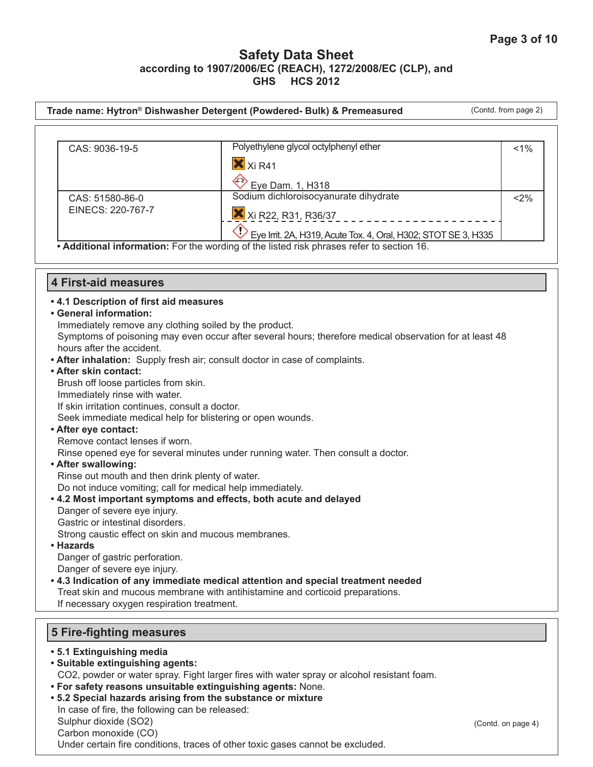|                                                                                                   | Trade name: Hytron® Dishwasher Detergent (Powdered- Bulk) & Premeasured                                 | (Contd. from page 2) |
|---------------------------------------------------------------------------------------------------|---------------------------------------------------------------------------------------------------------|----------------------|
|                                                                                                   |                                                                                                         |                      |
| CAS: 9036-19-5                                                                                    | Polyethylene glycol octylphenyl ether                                                                   | 1%                   |
|                                                                                                   | X Xi R41                                                                                                |                      |
|                                                                                                   |                                                                                                         |                      |
|                                                                                                   | Eye Dam. 1, H318<br>Sodium dichloroisocyanurate dihydrate                                               |                      |
| CAS: 51580-86-0<br>EINECS: 220-767-7                                                              |                                                                                                         | $2\%$                |
|                                                                                                   | X Xi R22, R31, R36/37                                                                                   |                      |
|                                                                                                   | $\overline{P}$ Eye Irrit. 2A, H319, Acute Tox. 4, Oral, H302; STOT SE 3, H335                           |                      |
|                                                                                                   | • Additional information: For the wording of the listed risk phrases refer to section 16.               |                      |
|                                                                                                   |                                                                                                         |                      |
| <b>4 First-aid measures</b>                                                                       |                                                                                                         |                      |
| .4.1 Description of first aid measures                                                            |                                                                                                         |                      |
| • General information:                                                                            |                                                                                                         |                      |
| Immediately remove any clothing soiled by the product.                                            |                                                                                                         |                      |
| hours after the accident.                                                                         | Symptoms of poisoning may even occur after several hours; therefore medical observation for at least 48 |                      |
| • After inhalation: Supply fresh air; consult doctor in case of complaints.                       |                                                                                                         |                      |
| • After skin contact:                                                                             |                                                                                                         |                      |
| Brush off loose particles from skin.                                                              |                                                                                                         |                      |
| Immediately rinse with water.                                                                     |                                                                                                         |                      |
| If skin irritation continues, consult a doctor.                                                   |                                                                                                         |                      |
| Seek immediate medical help for blistering or open wounds.                                        |                                                                                                         |                      |
| • After eye contact:                                                                              |                                                                                                         |                      |
| Remove contact lenses if worn.                                                                    |                                                                                                         |                      |
|                                                                                                   | Rinse opened eye for several minutes under running water. Then consult a doctor.                        |                      |
| • After swallowing:                                                                               |                                                                                                         |                      |
| Rinse out mouth and then drink plenty of water.                                                   |                                                                                                         |                      |
| Do not induce vomiting; call for medical help immediately.                                        |                                                                                                         |                      |
| . 4.2 Most important symptoms and effects, both acute and delayed<br>Danger of severe eye injury. |                                                                                                         |                      |
| Gastric or intestinal disorders.                                                                  |                                                                                                         |                      |
| Strong caustic effect on skin and mucous membranes                                                |                                                                                                         |                      |
| • Hazards                                                                                         |                                                                                                         |                      |
| Danger of gastric perforation.                                                                    |                                                                                                         |                      |
| Danger of severe eye injury.                                                                      |                                                                                                         |                      |
|                                                                                                   | . 4.3 Indication of any immediate medical attention and special treatment needed                        |                      |
|                                                                                                   | Treat skin and mucous membrane with antihistamine and corticoid preparations.                           |                      |
| If necessary oxygen respiration treatment.                                                        |                                                                                                         |                      |
| <b>5 Fire-fighting measures</b>                                                                   |                                                                                                         |                      |
|                                                                                                   |                                                                                                         |                      |
| • 5.1 Extinguishing media<br>· Suitable extinguishing agents:                                     |                                                                                                         |                      |

CO2, powder or water spray. Fight larger fires with water spray or alcohol resistant foam.

- **For safety reasons unsuitable extinguishing agents:** None.
- **5.2 Special hazards arising from the substance or mixture**  In case of fire, the following can be released: Sulphur dioxide (SO2) Carbon monoxide (CO) Under certain fire conditions, traces of other toxic gases cannot be excluded.

(Contd. on page 4)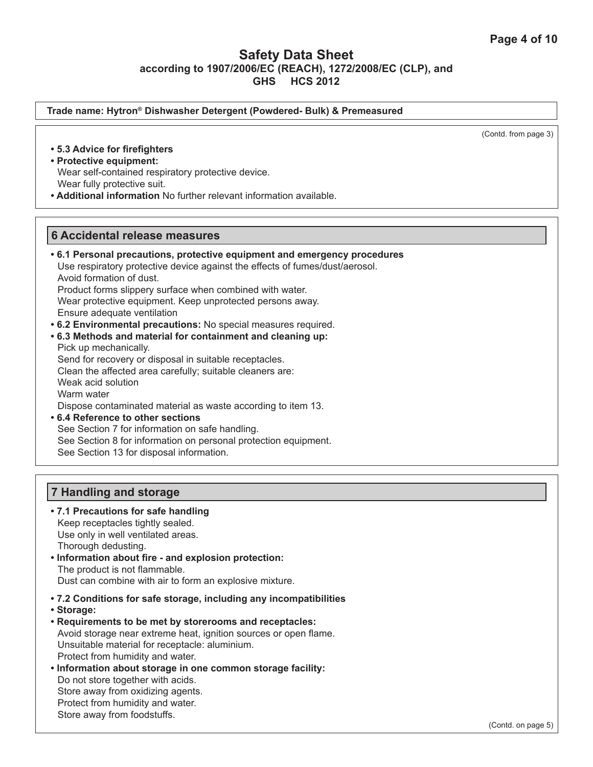**7 Handling and storage • 7.1 Precautions for safe handling** Keep receptacles tightly sealed. Use only in well ventilated areas. Thorough dedusting. (Contd. from page 3) **6 Accidental release measures • 6.1 Personal precautions, protective equipment and emergency procedures** Use respiratory protective device against the effects of fumes/dust/aerosol. Avoid formation of dust. Product forms slippery surface when combined with water. Wear protective equipment. Keep unprotected persons away. Ensure adequate ventilation **• 6.2 Environmental precautions:** No special measures required. **• 6.3 Methods and material for containment and cleaning up:** Pick up mechanically. Send for recovery or disposal in suitable receptacles. Clean the affected area carefully; suitable cleaners are: Weak acid solution Warm water Dispose contaminated material as waste according to item 13. **• 6.4 Reference to other sections** See Section 7 for information on safe handling. See Section 8 for information on personal protection equipment. See Section 13 for disposal information. **• 5.3 Advice for firefighters • Protective equipment:** Wear self-contained respiratory protective device. Wear fully protective suit. **• Additional information** No further relevant information available. **Trade name: Hytron® Dishwasher Detergent (Powdered- Bulk) & Premeasured**

**• Information about fire - and explosion protection:**  The product is not flammable. Dust can combine with air to form an explosive mixture.

- **7.2 Conditions for safe storage, including any incompatibilities**
- **Storage:**
- **Requirements to be met by storerooms and receptacles:** Avoid storage near extreme heat, ignition sources or open flame. Unsuitable material for receptacle: aluminium. Protect from humidity and water.
- **Information about storage in one common storage facility:** Do not store together with acids. Store away from oxidizing agents. Protect from humidity and water. Store away from foodstuffs.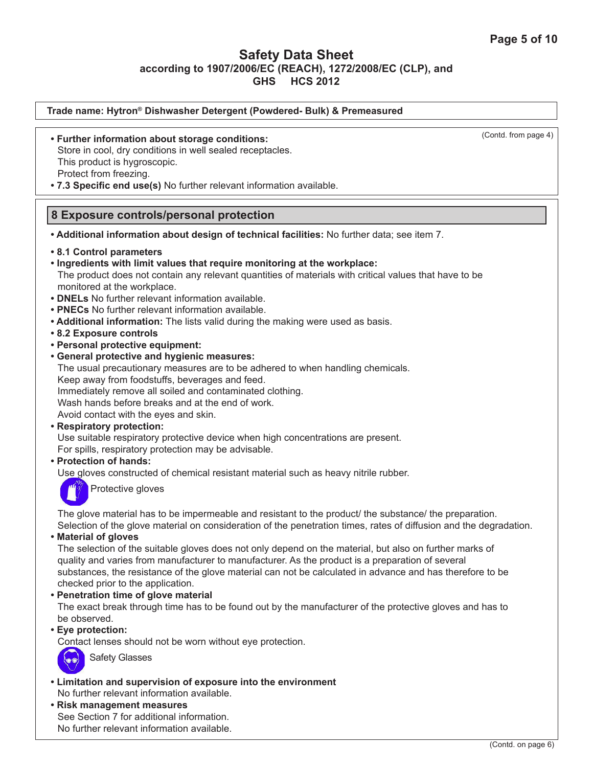| Trade name: Hytron® Dishwasher Detergent (Powdered- Bulk) & Premeasured                                                                                                                                                                                                                                                                                                                                                                                                                                                                                                                                                                                                                                                                                                                                                                                                                                                                                                                                                                                                                                                                                                 |                      |
|-------------------------------------------------------------------------------------------------------------------------------------------------------------------------------------------------------------------------------------------------------------------------------------------------------------------------------------------------------------------------------------------------------------------------------------------------------------------------------------------------------------------------------------------------------------------------------------------------------------------------------------------------------------------------------------------------------------------------------------------------------------------------------------------------------------------------------------------------------------------------------------------------------------------------------------------------------------------------------------------------------------------------------------------------------------------------------------------------------------------------------------------------------------------------|----------------------|
| • Further information about storage conditions:<br>Store in cool, dry conditions in well sealed receptacles.<br>This product is hygroscopic.<br>Protect from freezing.<br>. 7.3 Specific end use(s) No further relevant information available.                                                                                                                                                                                                                                                                                                                                                                                                                                                                                                                                                                                                                                                                                                                                                                                                                                                                                                                          | (Contd. from page 4) |
| 8 Exposure controls/personal protection                                                                                                                                                                                                                                                                                                                                                                                                                                                                                                                                                                                                                                                                                                                                                                                                                                                                                                                                                                                                                                                                                                                                 |                      |
| . Additional information about design of technical facilities: No further data; see item 7.                                                                                                                                                                                                                                                                                                                                                                                                                                                                                                                                                                                                                                                                                                                                                                                                                                                                                                                                                                                                                                                                             |                      |
| • 8.1 Control parameters<br>. Ingredients with limit values that require monitoring at the workplace:<br>The product does not contain any relevant quantities of materials with critical values that have to be<br>monitored at the workplace.<br>• DNELs No further relevant information available.<br>• PNECs No further relevant information available.<br>• Additional information: The lists valid during the making were used as basis.<br>• 8.2 Exposure controls<br>• Personal protective equipment:<br>• General protective and hygienic measures:<br>The usual precautionary measures are to be adhered to when handling chemicals.<br>Keep away from foodstuffs, beverages and feed.<br>Immediately remove all soiled and contaminated clothing.<br>Wash hands before breaks and at the end of work.<br>Avoid contact with the eyes and skin.<br>• Respiratory protection:<br>Use suitable respiratory protective device when high concentrations are present.<br>For spills, respiratory protection may be advisable.<br>• Protection of hands:<br>Use gloves constructed of chemical resistant material such as heavy nitrile rubber.<br>Protective gloves |                      |
| The glove material has to be impermeable and resistant to the product/ the substance/ the preparation.                                                                                                                                                                                                                                                                                                                                                                                                                                                                                                                                                                                                                                                                                                                                                                                                                                                                                                                                                                                                                                                                  |                      |

Selection of the glove material on consideration of the penetration times, rates of diffusion and the degradation. **• Material of gloves**

The selection of the suitable gloves does not only depend on the material, but also on further marks of quality and varies from manufacturer to manufacturer. As the product is a preparation of several substances, the resistance of the glove material can not be calculated in advance and has therefore to be checked prior to the application.

**• Penetration time of glove material**

The exact break through time has to be found out by the manufacturer of the protective gloves and has to be observed.

**• Eye protection:** 

Contact lenses should not be worn without eye protection.



Safety Glasses

- **Limitation and supervision of exposure into the environment** No further relevant information available.
- **Risk management measures** See Section 7 for additional information. No further relevant information available.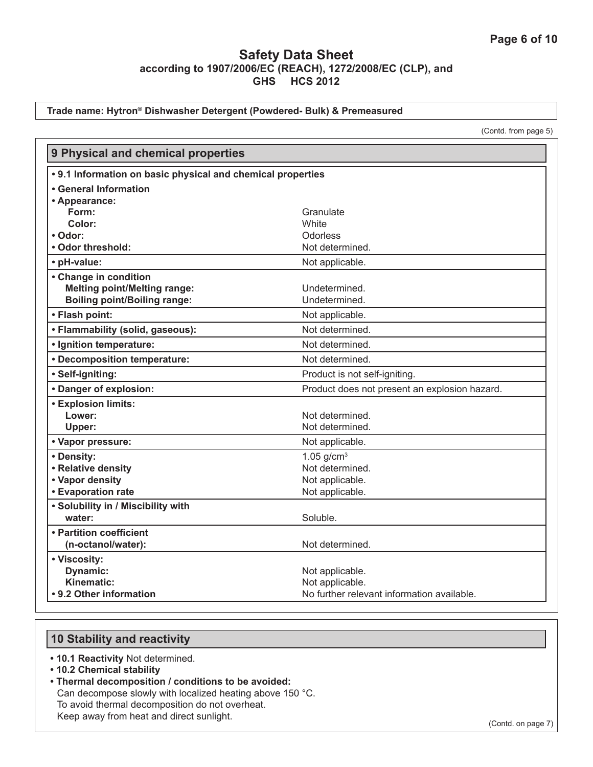#### **Trade name: Hytron® Dishwasher Detergent (Powdered- Bulk) & Premeasured**

(Contd. from page 5)

| 9 Physical and chemical properties                          |                                               |
|-------------------------------------------------------------|-----------------------------------------------|
| • 9.1 Information on basic physical and chemical properties |                                               |
| <b>• General Information</b>                                |                                               |
| • Appearance:                                               |                                               |
| Form:                                                       | Granulate                                     |
| Color:                                                      | <b>White</b>                                  |
| • Odor:                                                     | Odorless                                      |
| • Odor threshold:                                           | Not determined.                               |
| • pH-value:                                                 | Not applicable.                               |
| • Change in condition                                       |                                               |
| <b>Melting point/Melting range:</b>                         | Undetermined.                                 |
| <b>Boiling point/Boiling range:</b>                         | Undetermined.                                 |
| • Flash point:                                              | Not applicable.                               |
| • Flammability (solid, gaseous):                            | Not determined.                               |
| · Ignition temperature:                                     | Not determined.                               |
| • Decomposition temperature:                                | Not determined.                               |
| · Self-igniting:                                            | Product is not self-igniting.                 |
| • Danger of explosion:                                      | Product does not present an explosion hazard. |
| <b>• Explosion limits:</b>                                  |                                               |
| Lower:                                                      | Not determined.                               |
| Upper:                                                      | Not determined.                               |
| • Vapor pressure:                                           | Not applicable.                               |
| • Density:                                                  | 1.05 $g/cm3$                                  |
| • Relative density                                          | Not determined.                               |
| • Vapor density                                             | Not applicable.                               |
| <b>• Evaporation rate</b>                                   | Not applicable.                               |
| • Solubility in / Miscibility with                          |                                               |
| water:                                                      | Soluble.                                      |
| • Partition coefficient                                     |                                               |
| (n-octanol/water):                                          | Not determined.                               |
| • Viscosity:                                                |                                               |
| Dynamic:                                                    | Not applicable.                               |
| Kinematic:                                                  | Not applicable.                               |
| • 9.2 Other information                                     | No further relevant information available.    |

## **10 Stability and reactivity**

- **10.1 Reactivity** Not determined.
- **10.2 Chemical stability**
- **Thermal decomposition / conditions to be avoided:** Can decompose slowly with localized heating above 150 °C. To avoid thermal decomposition do not overheat. Keep away from heat and direct sunlight.

(Contd. on page 7)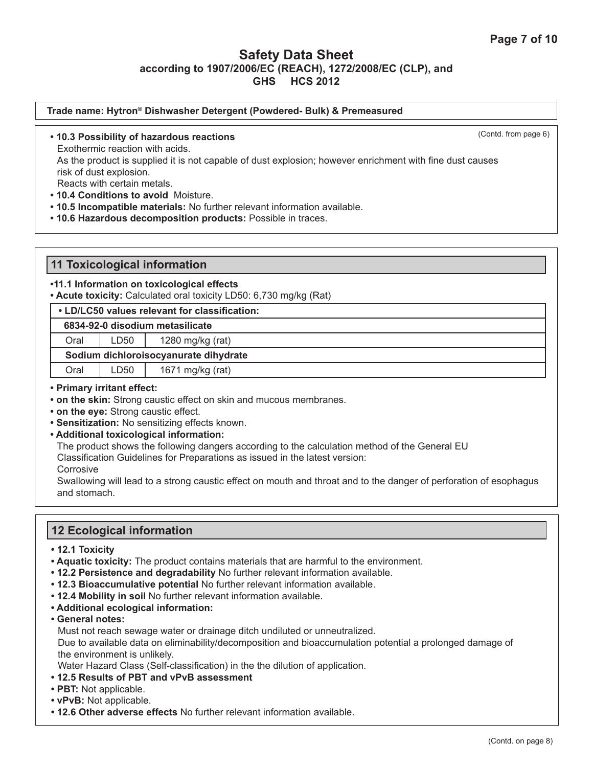| Trade name: Hytron® Dishwasher Detergent (Powdered- Bulk) & Premeasured                                                             |                      |
|-------------------------------------------------------------------------------------------------------------------------------------|----------------------|
| • 10.3 Possibility of hazardous reactions                                                                                           | (Contd. from page 6) |
| Exothermic reaction with acids.                                                                                                     |                      |
| As the product is supplied it is not capable of dust explosion; however enrichment with fine dust causes<br>risk of dust explosion. |                      |
| Reacts with certain metals.                                                                                                         |                      |
| • 10.4 Conditions to avoid Moisture.                                                                                                |                      |
| . 10.5 Incompatible materials: No further relevant information available.                                                           |                      |
| .10.6 Hazardous decomposition products: Possible in traces.                                                                         |                      |

## **11 Toxicological information**

### **•11.1 Information on toxicological effects**

**• Acute toxicity:** Calculated oral toxicity LD50: 6,730 mg/kg (Rat)

| • LD/LC50 values relevant for classification: |                  |                  |
|-----------------------------------------------|------------------|------------------|
| 6834-92-0 disodium metasilicate               |                  |                  |
| Oral                                          | LD <sub>50</sub> | 1280 mg/kg (rat) |
| Sodium dichloroisocyanurate dihydrate         |                  |                  |
| Oral                                          | LD50             | 1671 mg/kg (rat) |

#### **• Primary irritant effect:**

- **on the skin:** Strong caustic effect on skin and mucous membranes.
- **on the eye:** Strong caustic effect.
- **Sensitization:** No sensitizing effects known.
- **Additional toxicological information:**

The product shows the following dangers according to the calculation method of the General EU

Classification Guidelines for Preparations as issued in the latest version:

**Corrosive** 

Swallowing will lead to a strong caustic effect on mouth and throat and to the danger of perforation of esophagus and stomach.

## **12 Ecological information**

- **12.1 Toxicity**
- **Aquatic toxicity:** The product contains materials that are harmful to the environment.
- **12.2 Persistence and degradability** No further relevant information available.
- **12.3 Bioaccumulative potential** No further relevant information available.
- **12.4 Mobility in soil** No further relevant information available.
- **Additional ecological information:**
- **General notes:**

Must not reach sewage water or drainage ditch undiluted or unneutralized.

Due to available data on eliminability/decomposition and bioaccumulation potential a prolonged damage of the environment is unlikely.

Water Hazard Class (Self-classification) in the the dilution of application.

- **12.5 Results of PBT and vPvB assessment**
- **PBT:** Not applicable.
- **vPvB:** Not applicable.
- **12.6 Other adverse effects** No further relevant information available.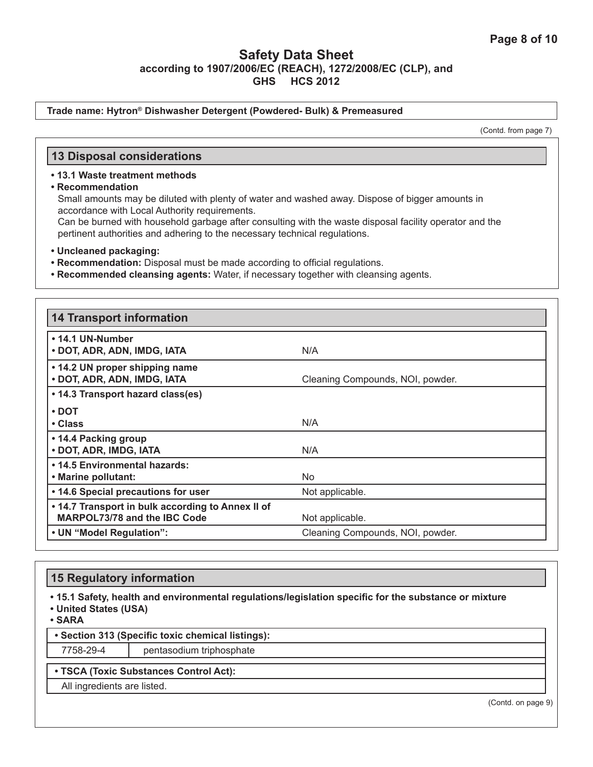#### **Trade name: Hytron® Dishwasher Detergent (Powdered- Bulk) & Premeasured**

(Contd. from page 7)

### **13 Disposal considerations**

#### **• 13.1 Waste treatment methods**

**• Recommendation**

Small amounts may be diluted with plenty of water and washed away. Dispose of bigger amounts in accordance with Local Authority requirements.

Can be burned with household garbage after consulting with the waste disposal facility operator and the pertinent authorities and adhering to the necessary technical regulations.

- **Uncleaned packaging:**
- **Recommendation:** Disposal must be made according to official regulations.
- **Recommended cleansing agents:** Water, if necessary together with cleansing agents.

| <b>14 Transport information</b>                                                          |                                  |
|------------------------------------------------------------------------------------------|----------------------------------|
| • 14.1 UN-Number<br>• DOT, ADR, ADN, IMDG, IATA                                          | N/A                              |
| • 14.2 UN proper shipping name<br>• DOT, ADR, ADN, IMDG, IATA                            | Cleaning Compounds, NOI, powder. |
| • 14.3 Transport hazard class(es)                                                        |                                  |
| $\cdot$ DOT                                                                              |                                  |
| • Class                                                                                  | N/A                              |
| • 14.4 Packing group<br>• DOT, ADR, IMDG, IATA                                           | N/A                              |
| • 14.5 Environmental hazards:                                                            |                                  |
| • Marine pollutant:                                                                      | No.                              |
| • 14.6 Special precautions for user                                                      | Not applicable.                  |
| . 14.7 Transport in bulk according to Annex II of<br><b>MARPOL73/78 and the IBC Code</b> | Not applicable.                  |
| • UN "Model Regulation":                                                                 | Cleaning Compounds, NOI, powder. |

### **15 Regulatory information**

**• 15.1 Safety, health and environmental regulations/legislation specific for the substance or mixture**

**• United States (USA)**

**• SARA**

**• Section 313 (Specific toxic chemical listings):**

7758-29-4 pentasodium triphosphate

#### **• TSCA (Toxic Substances Control Act):**

All ingredients are listed.

(Contd. on page 9)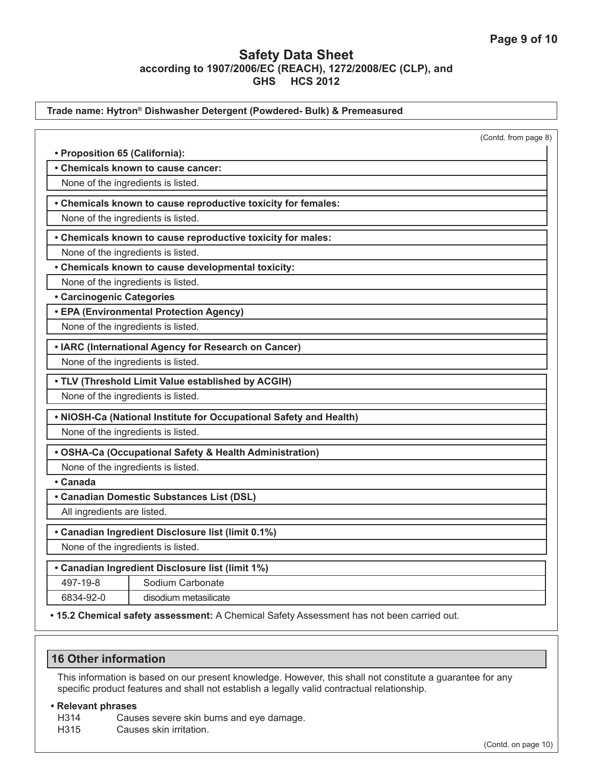|                                  | Trade name: Hytron® Dishwasher Detergent (Powdered- Bulk) & Premeasured |                      |
|----------------------------------|-------------------------------------------------------------------------|----------------------|
|                                  |                                                                         | (Contd. from page 8) |
| • Proposition 65 (California):   |                                                                         |                      |
|                                  | • Chemicals known to cause cancer:                                      |                      |
|                                  | None of the ingredients is listed.                                      |                      |
|                                  | • Chemicals known to cause reproductive toxicity for females:           |                      |
|                                  | None of the ingredients is listed.                                      |                      |
|                                  | • Chemicals known to cause reproductive toxicity for males:             |                      |
|                                  | None of the ingredients is listed.                                      |                      |
|                                  | • Chemicals known to cause developmental toxicity:                      |                      |
|                                  | None of the ingredients is listed.                                      |                      |
| <b>• Carcinogenic Categories</b> |                                                                         |                      |
|                                  | • EPA (Environmental Protection Agency)                                 |                      |
|                                  | None of the ingredients is listed.                                      |                      |
|                                  | • IARC (International Agency for Research on Cancer)                    |                      |
|                                  | None of the ingredients is listed.                                      |                      |
|                                  | . TLV (Threshold Limit Value established by ACGIH)                      |                      |
|                                  | None of the ingredients is listed.                                      |                      |
|                                  | . NIOSH-Ca (National Institute for Occupational Safety and Health)      |                      |
|                                  | None of the ingredients is listed.                                      |                      |
|                                  | • OSHA-Ca (Occupational Safety & Health Administration)                 |                      |
|                                  | None of the ingredients is listed.                                      |                      |
| • Canada                         |                                                                         |                      |
|                                  | • Canadian Domestic Substances List (DSL)                               |                      |
| All ingredients are listed.      |                                                                         |                      |
|                                  | • Canadian Ingredient Disclosure list (limit 0.1%)                      |                      |
|                                  | None of the ingredients is listed.                                      |                      |
|                                  | • Canadian Ingredient Disclosure list (limit 1%)                        |                      |
| 497-19-8                         | Sodium Carbonate                                                        |                      |
| 6834-92-0                        | disodium metasilicate                                                   |                      |

**• 15.2 Chemical safety assessment:** A Chemical Safety Assessment has not been carried out.

# **16 Other information**

This information is based on our present knowledge. However, this shall not constitute a guarantee for any specific product features and shall not establish a legally valid contractual relationship.

#### **• Relevant phrases**

H314 Causes severe skin burns and eye damage.<br>H315 Causes skin irritation.

Causes skin irritation.